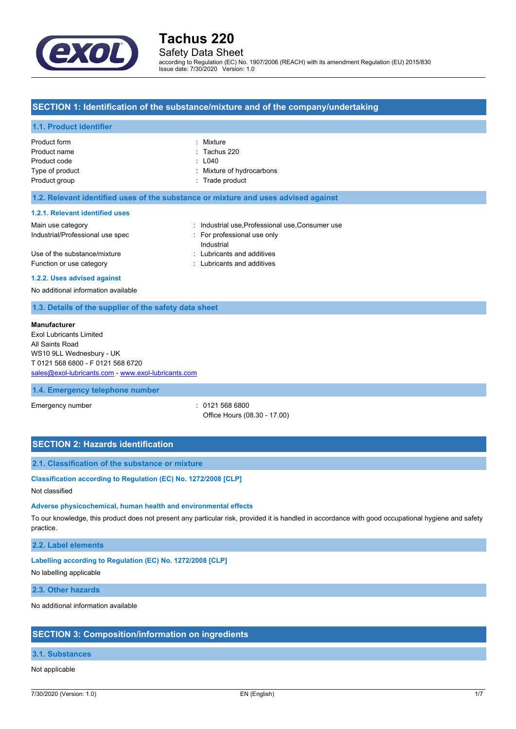

## Safety Data Sheet

according to Regulation (EC) No. 1907/2006 (REACH) with its amendment Regulation (EU) 2015/830 Issue date: 7/30/2020 Version: 1.0

#### **SECTION 1: Identification of the substance/mixture and of the company/undertaking**

#### **1.1. Product identifier**

| Product form    | : Mixture                 |
|-----------------|---------------------------|
| Product name    | $\therefore$ Tachus 220   |
| Product code    | $\pm 040$                 |
| Type of product | : Mixture of hydrocarbons |
| Product group   | : Trade product           |
|                 |                           |

#### **1.2. Relevant identified uses of the substance or mixture and uses advised against**

#### **1.2.1. Relevant identified uses**

| Main use category                | : Industrial use Professional use Consumer use |
|----------------------------------|------------------------------------------------|
| Industrial/Professional use spec | For professional use only                      |
|                                  | Industrial                                     |
| Use of the substance/mixture     | : Lubricants and additives                     |
| Function or use category         | : Lubricants and additives                     |
|                                  |                                                |

#### **1.2.2. Uses advised against**

No additional information available

#### **1.3. Details of the supplier of the safety data sheet**

#### **Manufacturer**

Exol Lubricants Limited All Saints Road WS10 9LL Wednesbury - UK T 0121 568 6800 - F 0121 568 6720 [sales@exol-lubricants.com](mailto:sales@exol-lubricants.com) - <www.exol-lubricants.com>

#### **1.4. Emergency telephone number**

Emergency number : 0121 568 6800

Office Hours (08.30 - 17.00)

## **SECTION 2: Hazards identification**

#### **2.1. Classification of the substance or mixture**

#### **Classification according to Regulation (EC) No. 1272/2008 [CLP]**

Not classified

#### **Adverse physicochemical, human health and environmental effects**

To our knowledge, this product does not present any particular risk, provided it is handled in accordance with good occupational hygiene and safety practice.

#### **2.2. Label elements**

#### **Labelling according to Regulation (EC) No. 1272/2008 [CLP]**

No labelling applicable

#### **2.3. Other hazards**

No additional information available

#### **SECTION 3: Composition/information on ingredients**

#### **3.1. Substances**

#### Not applicable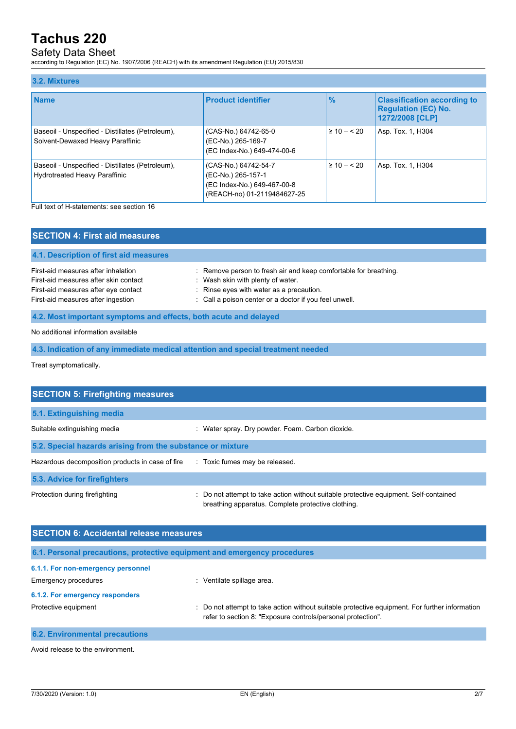## Safety Data Sheet

according to Regulation (EC) No. 1907/2006 (REACH) with its amendment Regulation (EU) 2015/830

#### **3.2. Mixtures Name Product identifier % Classification according to Regulation (EC) No. 1272/2008 [CLP]** Baseoil - Unspecified - Distillates (Petroleum), Solvent-Dewaxed Heavy Paraffinic (CAS-No.) 64742-65-0 (EC-No.) 265-169-7 (EC Index-No.) 649-474-00-6 ≥ 10 – < 20 <br> Asp. Tox. 1, H304 Baseoil - Unspecified - Distillates (Petroleum), Hydrotreated Heavy Paraffinic (CAS-No.) 64742-54-7 (EC-No.) 265-157-1 (EC Index-No.) 649-467-00-8 (REACH-no) 01-2119484627-25 ≥ 10 – < 20 <br> Asp. Tox. 1, H304

Full text of H-statements: see section 16

| <b>SECTION 4: First aid measures</b>                                                                                                                       |                                                                                                                                                                                                             |
|------------------------------------------------------------------------------------------------------------------------------------------------------------|-------------------------------------------------------------------------------------------------------------------------------------------------------------------------------------------------------------|
| 4.1. Description of first aid measures                                                                                                                     |                                                                                                                                                                                                             |
| First-aid measures after inhalation<br>First-aid measures after skin contact<br>First-aid measures after eye contact<br>First-aid measures after ingestion | : Remove person to fresh air and keep comfortable for breathing.<br>: Wash skin with plenty of water.<br>: Rinse eyes with water as a precaution.<br>: Call a poison center or a doctor if you feel unwell. |
| 4.2. Most important symptoms and effects, both acute and delayed                                                                                           |                                                                                                                                                                                                             |

No additional information available

**4.3. Indication of any immediate medical attention and special treatment needed**

Treat symptomatically.

| <b>SECTION 5: Firefighting measures</b>                    |                                                                                                                                             |  |
|------------------------------------------------------------|---------------------------------------------------------------------------------------------------------------------------------------------|--|
| 5.1. Extinguishing media                                   |                                                                                                                                             |  |
| Suitable extinguishing media                               | : Water spray. Dry powder. Foam. Carbon dioxide.                                                                                            |  |
| 5.2. Special hazards arising from the substance or mixture |                                                                                                                                             |  |
| Hazardous decomposition products in case of fire           | : Toxic fumes may be released.                                                                                                              |  |
| 5.3. Advice for firefighters                               |                                                                                                                                             |  |
| Protection during firefighting                             | : Do not attempt to take action without suitable protective equipment. Self-contained<br>breathing apparatus. Complete protective clothing. |  |

| <b>SECTION 6: Accidental release measures</b>                            |                                                                                                                                                                |
|--------------------------------------------------------------------------|----------------------------------------------------------------------------------------------------------------------------------------------------------------|
| 6.1. Personal precautions, protective equipment and emergency procedures |                                                                                                                                                                |
| 6.1.1. For non-emergency personnel                                       |                                                                                                                                                                |
| Emergency procedures                                                     | Ventilate spillage area.<br>÷                                                                                                                                  |
| 6.1.2. For emergency responders                                          |                                                                                                                                                                |
| Protective equipment                                                     | : Do not attempt to take action without suitable protective equipment. For further information<br>refer to section 8: "Exposure controls/personal protection". |
| <b>6.2. Environmental precautions</b>                                    |                                                                                                                                                                |

Avoid release to the environment.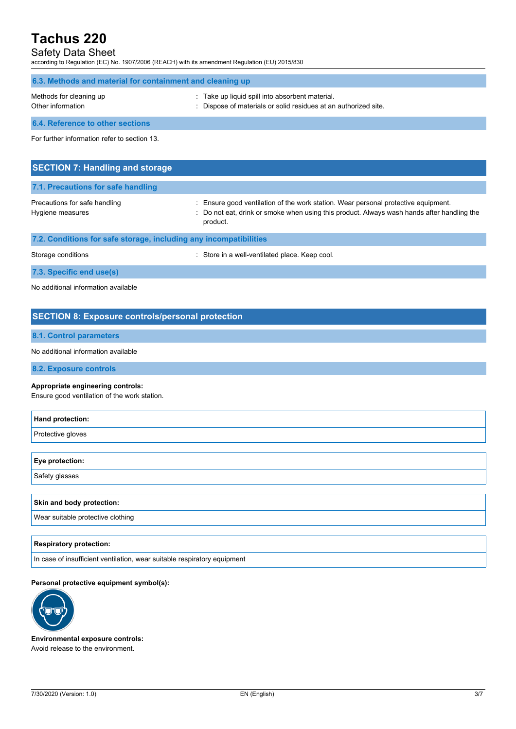## Safety Data Sheet

according to Regulation (EC) No. 1907/2006 (REACH) with its amendment Regulation (EU) 2015/830

| 6.3. Methods and material for containment and cleaning up |                                                                                                                  |  |
|-----------------------------------------------------------|------------------------------------------------------------------------------------------------------------------|--|
| Methods for cleaning up<br>Other information              | : Take up liquid spill into absorbent material.<br>Dispose of materials or solid residues at an authorized site. |  |
| 6.4. Reference to other sections                          |                                                                                                                  |  |
| For further information refer to section 13.              |                                                                                                                  |  |
| <b>SECTION 7: Handling and storage</b>                    |                                                                                                                  |  |

| 7.1. Precautions for safe handling                                |                                                                                                                                                                                              |
|-------------------------------------------------------------------|----------------------------------------------------------------------------------------------------------------------------------------------------------------------------------------------|
| Precautions for safe handling<br>Hygiene measures                 | : Ensure good ventilation of the work station. Wear personal protective equipment.<br>: Do not eat, drink or smoke when using this product. Always wash hands after handling the<br>product. |
| 7.2. Conditions for safe storage, including any incompatibilities |                                                                                                                                                                                              |

| Storage conditions       | : Store in a well-ventilated place. Keep cool. |
|--------------------------|------------------------------------------------|
| 7.3. Specific end use(s) |                                                |

No additional information available

### **SECTION 8: Exposure controls/personal protection**

### **8.1. Control parameters**

No additional information available

**8.2. Exposure controls**

#### **Appropriate engineering controls:**

Ensure good ventilation of the work station.

| Hand protection:                  |  |
|-----------------------------------|--|
| Protective gloves                 |  |
|                                   |  |
| Eye protection:                   |  |
| Safety glasses                    |  |
|                                   |  |
| <b>Skin and body protection:</b>  |  |
| Wear suitable protective clothing |  |
|                                   |  |

#### **Respiratory protection:**

In case of insufficient ventilation, wear suitable respiratory equipment

#### **Personal protective equipment symbol(s):**



**Environmental exposure controls:** Avoid release to the environment.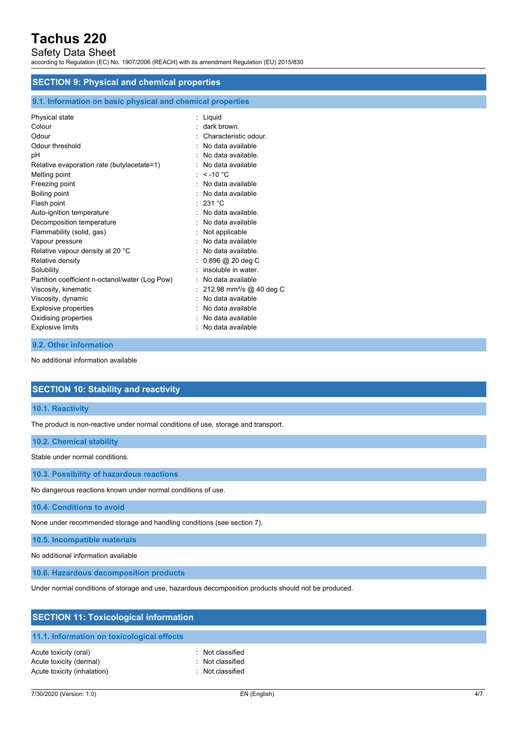## Safety Data Sheet

according to Regulation (EC) No. 1907/2006 (REACH) with its amendment Regulation (EU) 2015/830

#### **SECTION 9: Physical and chemical properties**

#### **9.1. Information on basic physical and chemical properties**

| Physical state                                  | : Liquid                               |
|-------------------------------------------------|----------------------------------------|
| Colour                                          | dark brown.                            |
| Odour                                           | Characteristic odour.                  |
| Odour threshold                                 | : No data available                    |
| pH                                              | No data available                      |
| Relative evaporation rate (butylacetate=1)      | No data available                      |
| Melting point                                   | : $<$ -10 °C                           |
| Freezing point                                  | . No data available                    |
| Boiling point                                   | $:$ No data available                  |
| Flash point                                     | : 231 °C                               |
| Auto-ignition temperature                       | No data available.                     |
| Decomposition temperature                       | No data available                      |
| Flammability (solid, gas)                       | Not applicable                         |
| Vapour pressure                                 | No data available                      |
| Relative vapour density at 20 °C                | : No data available.                   |
| Relative density                                | $0.896$ @ 20 deg C                     |
| Solubility                                      | insoluble in water.                    |
| Partition coefficient n-octanol/water (Log Pow) | No data available                      |
| Viscosity, kinematic                            | : 212.98 mm <sup>2</sup> /s @ 40 deg C |
| Viscosity, dynamic                              | No data available                      |
| <b>Explosive properties</b>                     | No data available                      |
| Oxidising properties                            | No data available                      |
| <b>Explosive limits</b>                         | No data available                      |

#### **9.2. Other information**

No additional information available

#### **SECTION 10: Stability and reactivity**

#### **10.1. Reactivity**

The product is non-reactive under normal conditions of use, storage and transport.

#### **10.2. Chemical stability**

Stable under normal conditions.

**10.3. Possibility of hazardous reactions**

No dangerous reactions known under normal conditions of use.

**10.4. Conditions to avoid**

None under recommended storage and handling conditions (see section 7).

**10.5. Incompatible materials**

No additional information available

**10.6. Hazardous decomposition products**

Under normal conditions of storage and use, hazardous decomposition products should not be produced.

| <b>SECTION 11: Toxicological information</b> |                  |  |
|----------------------------------------------|------------------|--|
| 11.1. Information on toxicological effects   |                  |  |
| Acute toxicity (oral)                        | : Not classified |  |
| Acute toxicity (dermal)                      | Not classified   |  |
| Acute toxicity (inhalation)                  | Not classified   |  |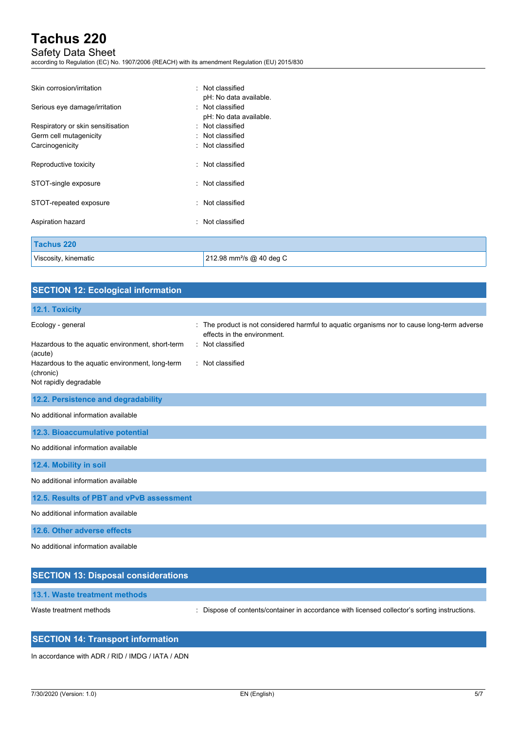## Safety Data Sheet

according to Regulation (EC) No. 1907/2006 (REACH) with its amendment Regulation (EU) 2015/830

| Skin corrosion/irritation         | : Not classified                     |  |
|-----------------------------------|--------------------------------------|--|
|                                   | pH: No data available.               |  |
| Serious eye damage/irritation     | : Not classified                     |  |
|                                   | pH: No data available.               |  |
| Respiratory or skin sensitisation | : Not classified                     |  |
| Germ cell mutagenicity            | : Not classified                     |  |
| Carcinogenicity                   | : Not classified                     |  |
| Reproductive toxicity             | : Not classified                     |  |
| STOT-single exposure              | : Not classified                     |  |
| STOT-repeated exposure            | : Not classified                     |  |
| Aspiration hazard                 | : Not classified                     |  |
| <b>Tachus 220</b>                 |                                      |  |
| Viscosity, kinematic              | 212.98 mm <sup>2</sup> /s @ 40 deg C |  |

| <b>SECTION 12: Ecological information</b>                    |                                                                                                                          |
|--------------------------------------------------------------|--------------------------------------------------------------------------------------------------------------------------|
| 12.1. Toxicity                                               |                                                                                                                          |
| Ecology - general                                            | The product is not considered harmful to aquatic organisms nor to cause long-term adverse<br>effects in the environment. |
| Hazardous to the aquatic environment, short-term<br>(acute)  | : Not classified                                                                                                         |
| Hazardous to the aquatic environment, long-term<br>(chronic) | : Not classified                                                                                                         |
| Not rapidly degradable                                       |                                                                                                                          |
| 12.2. Persistence and degradability                          |                                                                                                                          |
| No additional information available                          |                                                                                                                          |
| 12.3. Bioaccumulative potential                              |                                                                                                                          |
| No additional information available                          |                                                                                                                          |
| 12.4. Mobility in soil                                       |                                                                                                                          |
| No additional information available                          |                                                                                                                          |
| 12.5. Results of PBT and vPvB assessment                     |                                                                                                                          |
| No additional information available                          |                                                                                                                          |
| 12.6. Other adverse effects                                  |                                                                                                                          |
| No additional information available                          |                                                                                                                          |
| <b>SECTION 13: Disposal considerations</b>                   |                                                                                                                          |

Waste treatment methods : Dispose of contents/container in accordance with licensed collector's sorting instructions.

### **SECTION 14: Transport information**

In accordance with ADR / RID / IMDG / IATA / ADN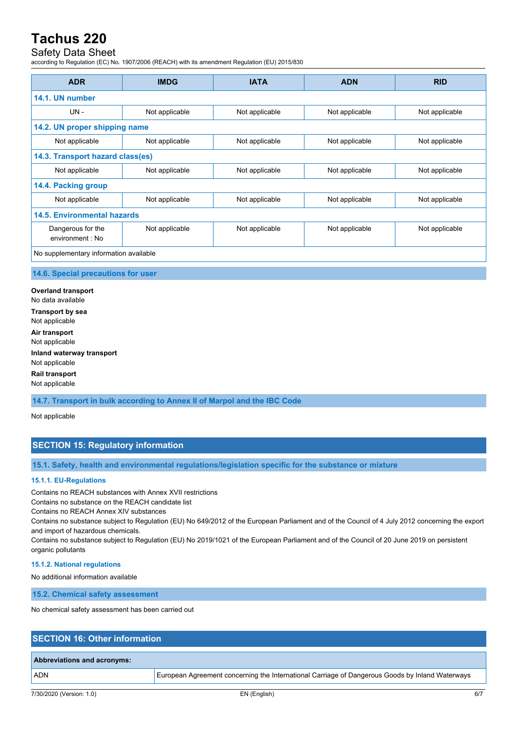## Safety Data Sheet

according to Regulation (EC) No. 1907/2006 (REACH) with its amendment Regulation (EU) 2015/830

| <b>ADR</b>                             | <b>IMDG</b>    | <b>IATA</b>    | <b>ADN</b>     | <b>RID</b>     |
|----------------------------------------|----------------|----------------|----------------|----------------|
| 14.1. UN number                        |                |                |                |                |
| $UN -$                                 | Not applicable | Not applicable | Not applicable | Not applicable |
| 14.2. UN proper shipping name          |                |                |                |                |
| Not applicable                         | Not applicable | Not applicable | Not applicable | Not applicable |
| 14.3. Transport hazard class(es)       |                |                |                |                |
| Not applicable                         | Not applicable | Not applicable | Not applicable | Not applicable |
| 14.4. Packing group                    |                |                |                |                |
| Not applicable                         | Not applicable | Not applicable | Not applicable | Not applicable |
| 14.5. Environmental hazards            |                |                |                |                |
| Dangerous for the<br>environment : No  | Not applicable | Not applicable | Not applicable | Not applicable |
| No supplementary information available |                |                |                |                |

#### **14.6. Special precautions for user**

**Overland transport** No data available **Transport by sea** Not applicable **Air transport** Not applicable **Inland waterway transport** Not applicable

**Rail transport** Not applicable

**14.7. Transport in bulk according to Annex II of Marpol and the IBC Code**

Not applicable

### **SECTION 15: Regulatory information**

**15.1. Safety, health and environmental regulations/legislation specific for the substance or mixture**

#### **15.1.1. EU-Regulations**

Contains no REACH substances with Annex XVII restrictions

Contains no substance on the REACH candidate list

Contains no REACH Annex XIV substances

Contains no substance subject to Regulation (EU) No 649/2012 of the European Parliament and of the Council of 4 July 2012 concerning the export and import of hazardous chemicals.

Contains no substance subject to Regulation (EU) No 2019/1021 of the European Parliament and of the Council of 20 June 2019 on persistent organic pollutants

#### **15.1.2. National regulations**

No additional information available

**15.2. Chemical safety assessment**

No chemical safety assessment has been carried out

### **SECTION 16: Other information**

## **Abbreviations and acronyms:**

ADN European Agreement concerning the International Carriage of Dangerous Goods by Inland Waterways